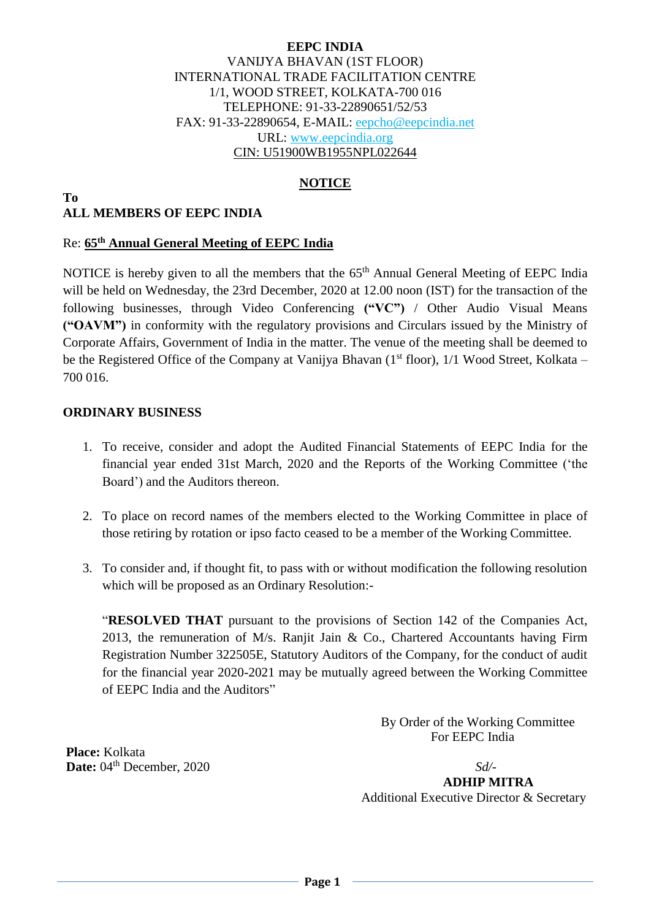#### **EEPC INDIA** VANIJYA BHAVAN (1ST FLOOR) INTERNATIONAL TRADE FACILITATION CENTRE 1/1, WOOD STREET, KOLKATA-700 016 TELEPHONE: 91-33-22890651/52/53 FAX: 91-33-22890654, E-MAIL: [eepcho@eepcindia.net](mailto:eepcho@eepcindia.net) URL: [www.eepcindia.org](http://www.eepcindia.org/) CIN: U51900WB1955NPL022644

#### **NOTICE**

#### **To ALL MEMBERS OF EEPC INDIA**

#### Re: **65 th Annual General Meeting of EEPC India**

NOTICE is hereby given to all the members that the  $65<sup>th</sup>$  Annual General Meeting of EEPC India will be held on Wednesday, the 23rd December, 2020 at 12.00 noon (IST) for the transaction of the following businesses, through Video Conferencing **("VC")** / Other Audio Visual Means **("OAVM")** in conformity with the regulatory provisions and Circulars issued by the Ministry of Corporate Affairs, Government of India in the matter. The venue of the meeting shall be deemed to be the Registered Office of the Company at Vanijya Bhavan (1<sup>st</sup> floor), 1/1 Wood Street, Kolkata – 700 016.

#### **ORDINARY BUSINESS**

- 1. To receive, consider and adopt the Audited Financial Statements of EEPC India for the financial year ended 31st March, 2020 and the Reports of the Working Committee ('the Board') and the Auditors thereon.
- 2. To place on record names of the members elected to the Working Committee in place of those retiring by rotation or ipso facto ceased to be a member of the Working Committee.
- 3. To consider and, if thought fit, to pass with or without modification the following resolution which will be proposed as an Ordinary Resolution:-

"**RESOLVED THAT** pursuant to the provisions of Section 142 of the Companies Act, 2013, the remuneration of M/s. Ranjit Jain & Co., Chartered Accountants having Firm Registration Number 322505E, Statutory Auditors of the Company, for the conduct of audit for the financial year 2020-2021 may be mutually agreed between the Working Committee of EEPC India and the Auditors"

> By Order of the Working CommitteeFor EEPC India

**Place:** Kolkata **Date:**  $04^{\text{th}}$  December, 2020 *Sd/-*

 **ADHIP MITRA** Additional Executive Director & Secretary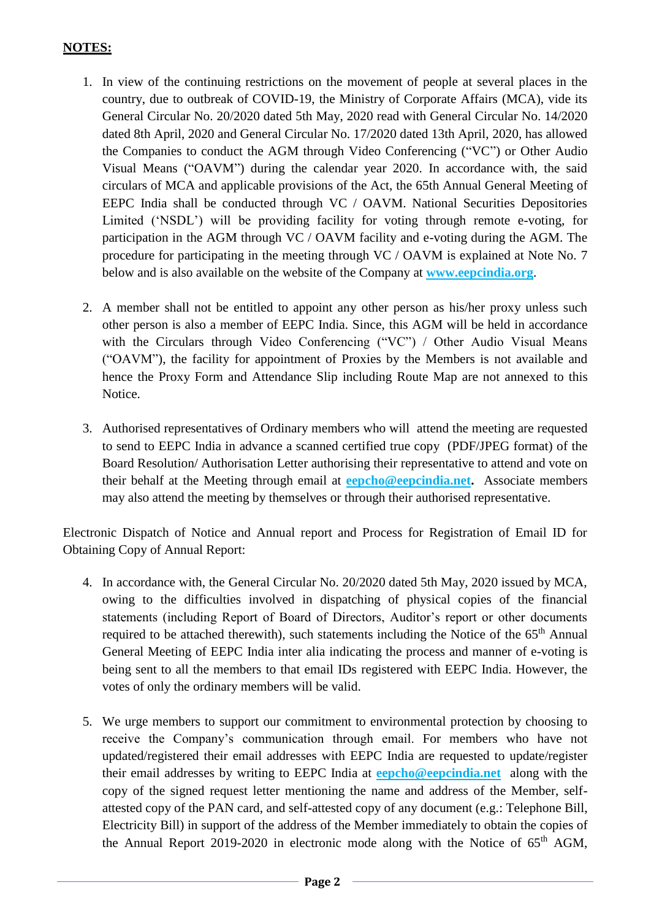## **NOTES:**

- 1. In view of the continuing restrictions on the movement of people at several places in the country, due to outbreak of COVID-19, the Ministry of Corporate Affairs (MCA), vide its General Circular No. 20/2020 dated 5th May, 2020 read with General Circular No. 14/2020 dated 8th April, 2020 and General Circular No. 17/2020 dated 13th April, 2020, has allowed the Companies to conduct the AGM through Video Conferencing ("VC") or Other Audio Visual Means ("OAVM") during the calendar year 2020. In accordance with, the said circulars of MCA and applicable provisions of the Act, the 65th Annual General Meeting of EEPC India shall be conducted through VC / OAVM. National Securities Depositories Limited ('NSDL') will be providing facility for voting through remote e-voting, for participation in the AGM through VC / OAVM facility and e-voting during the AGM. The procedure for participating in the meeting through VC / OAVM is explained at Note No. 7 below and is also available on the website of the Company at **[www.eepcindia.org](http://www.eepcindia.org/)**.
- 2. A member shall not be entitled to appoint any other person as his/her proxy unless such other person is also a member of EEPC India. Since, this AGM will be held in accordance with the Circulars through Video Conferencing ("VC") / Other Audio Visual Means ("OAVM"), the facility for appointment of Proxies by the Members is not available and hence the Proxy Form and Attendance Slip including Route Map are not annexed to this Notice.
- 3. Authorised representatives of Ordinary members who will attend the meeting are requested to send to EEPC India in advance a scanned certified true copy (PDF/JPEG format) of the Board Resolution/ Authorisation Letter authorising their representative to attend and vote on their behalf at the Meeting through email at **[eepcho@eepcindia.net.](mailto:eepcho@eepcindia.net)** Associate members may also attend the meeting by themselves or through their authorised representative.

Electronic Dispatch of Notice and Annual report and Process for Registration of Email ID for Obtaining Copy of Annual Report:

- 4. In accordance with, the General Circular No. 20/2020 dated 5th May, 2020 issued by MCA, owing to the difficulties involved in dispatching of physical copies of the financial statements (including Report of Board of Directors, Auditor's report or other documents required to be attached therewith), such statements including the Notice of the 65<sup>th</sup> Annual General Meeting of EEPC India inter alia indicating the process and manner of e-voting is being sent to all the members to that email IDs registered with EEPC India. However, the votes of only the ordinary members will be valid.
- 5. We urge members to support our commitment to environmental protection by choosing to receive the Company's communication through email. For members who have not updated/registered their email addresses with EEPC India are requested to update/register their email addresses by writing to EEPC India at **[eepcho@eepcindia.net](mailto:eepcho@eepcindia.net)** along with the copy of the signed request letter mentioning the name and address of the Member, selfattested copy of the PAN card, and self-attested copy of any document (e.g.: Telephone Bill, Electricity Bill) in support of the address of the Member immediately to obtain the copies of the Annual Report 2019-2020 in electronic mode along with the Notice of  $65<sup>th</sup>$  AGM,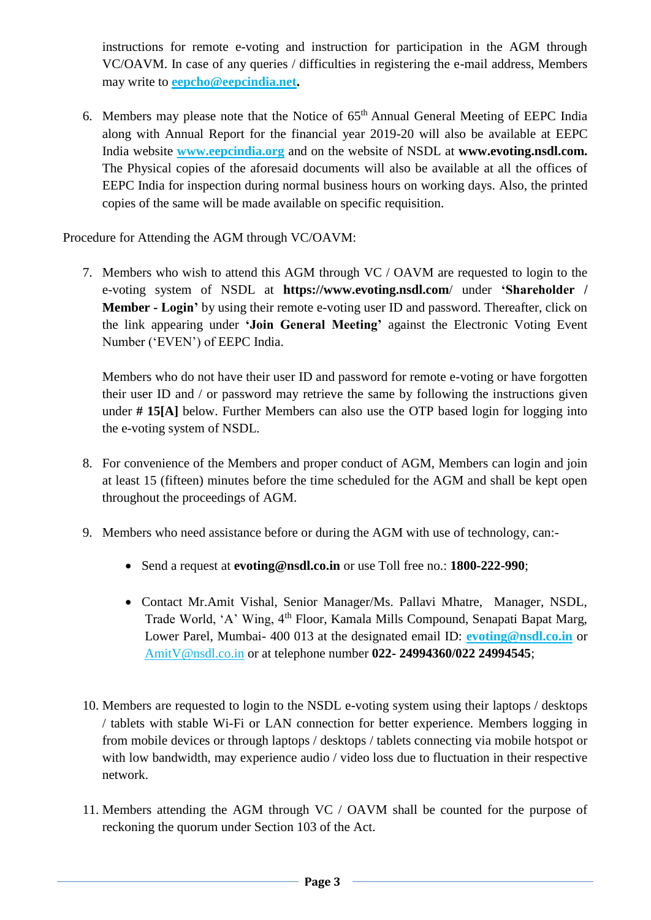instructions for remote e-voting and instruction for participation in the AGM through VC/OAVM. In case of any queries / difficulties in registering the e-mail address, Members may write to **[eepcho@eepcindia.net.](mailto:eepcho@eepcindia.net)**

6. Members may please note that the Notice of  $65<sup>th</sup>$  Annual General Meeting of EEPC India along with Annual Report for the financial year 2019-20 will also be available at EEPC India website **[www.eepcindia.org](http://www.eepcindia.org/)** and on the website of NSDL at **www.evoting.nsdl.com.** The Physical copies of the aforesaid documents will also be available at all the offices of EEPC India for inspection during normal business hours on working days. Also, the printed copies of the same will be made available on specific requisition.

Procedure for Attending the AGM through VC/OAVM:

7. Members who wish to attend this AGM through VC / OAVM are requested to login to the e-voting system of NSDL at **https://www.evoting.nsdl.com**/ under **'Shareholder / Member - Login'** by using their remote e-voting user ID and password. Thereafter, click on the link appearing under **'Join General Meeting'** against the Electronic Voting Event Number ('EVEN') of EEPC India.

Members who do not have their user ID and password for remote e-voting or have forgotten their user ID and / or password may retrieve the same by following the instructions given under **# 15[A]** below. Further Members can also use the OTP based login for logging into the e-voting system of NSDL.

- 8. For convenience of the Members and proper conduct of AGM, Members can login and join at least 15 (fifteen) minutes before the time scheduled for the AGM and shall be kept open throughout the proceedings of AGM.
- 9. Members who need assistance before or during the AGM with use of technology, can:-
	- Send a request at **evoting@nsdl.co.in** or use Toll free no.: **1800-222-990**;
	- Contact Mr.Amit Vishal, Senior Manager/Ms. Pallavi Mhatre, Manager, NSDL, Trade World, 'A' Wing, 4<sup>th</sup> Floor, Kamala Mills Compound, Senapati Bapat Marg, Lower Parel, Mumbai- 400 013 at the designated email ID: **[evoting@nsdl.co.in](mailto:evoting@nsdl.co.in)** or [AmitV@nsdl.co.in](mailto:AmitV@nsdl.co.in) or at telephone number **022- 24994360/022 24994545**;
- 10. Members are requested to login to the NSDL e-voting system using their laptops / desktops / tablets with stable Wi-Fi or LAN connection for better experience. Members logging in from mobile devices or through laptops / desktops / tablets connecting via mobile hotspot or with low bandwidth, may experience audio / video loss due to fluctuation in their respective network.
- 11. Members attending the AGM through VC / OAVM shall be counted for the purpose of reckoning the quorum under Section 103 of the Act.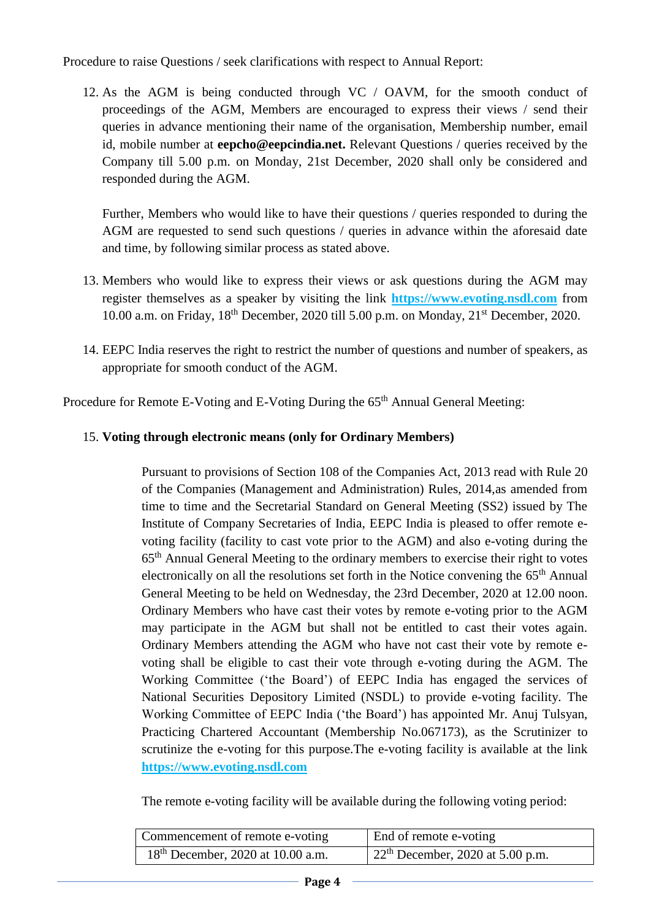Procedure to raise Questions / seek clarifications with respect to Annual Report:

12. As the AGM is being conducted through VC / OAVM, for the smooth conduct of proceedings of the AGM, Members are encouraged to express their views / send their queries in advance mentioning their name of the organisation, Membership number, email id, mobile number at **eepcho@eepcindia.net.** Relevant Questions / queries received by the Company till 5.00 p.m. on Monday, 21st December, 2020 shall only be considered and responded during the AGM.

Further, Members who would like to have their questions / queries responded to during the AGM are requested to send such questions / queries in advance within the aforesaid date and time, by following similar process as stated above.

- 13. Members who would like to express their views or ask questions during the AGM may register themselves as a speaker by visiting the link **[https://www.evoting.nsdl.com](https://www.evoting.nsdl.com/)** from 10.00 a.m. on Friday, 18<sup>th</sup> December, 2020 till 5.00 p.m. on Monday, 21<sup>st</sup> December, 2020.
- 14. EEPC India reserves the right to restrict the number of questions and number of speakers, as appropriate for smooth conduct of the AGM.

Procedure for Remote E-Voting and E-Voting During the 65<sup>th</sup> Annual General Meeting:

### 15. **Voting through electronic means (only for Ordinary Members)**

Pursuant to provisions of Section 108 of the Companies Act, 2013 read with Rule 20 of the Companies (Management and Administration) Rules, 2014,as amended from time to time and the Secretarial Standard on General Meeting (SS2) issued by The Institute of Company Secretaries of India, EEPC India is pleased to offer remote evoting facility (facility to cast vote prior to the AGM) and also e-voting during the 65th Annual General Meeting to the ordinary members to exercise their right to votes electronically on all the resolutions set forth in the Notice convening the 65<sup>th</sup> Annual General Meeting to be held on Wednesday, the 23rd December, 2020 at 12.00 noon. Ordinary Members who have cast their votes by remote e-voting prior to the AGM may participate in the AGM but shall not be entitled to cast their votes again. Ordinary Members attending the AGM who have not cast their vote by remote evoting shall be eligible to cast their vote through e-voting during the AGM. The Working Committee ('the Board') of EEPC India has engaged the services of National Securities Depository Limited (NSDL) to provide e-voting facility. The Working Committee of EEPC India ('the Board') has appointed Mr. Anuj Tulsyan, Practicing Chartered Accountant (Membership No.067173), as the Scrutinizer to scrutinize the e-voting for this purpose.The e-voting facility is available at the link **[https://www.evoting.nsdl.com](https://www.evoting.nsdl.com/)**

The remote e-voting facility will be available during the following voting period:

| Commencement of remote e-voting     | End of remote e-voting                       |
|-------------------------------------|----------------------------------------------|
| $18th$ December, 2020 at 10.00 a.m. | 22 <sup>th</sup> December, 2020 at 5.00 p.m. |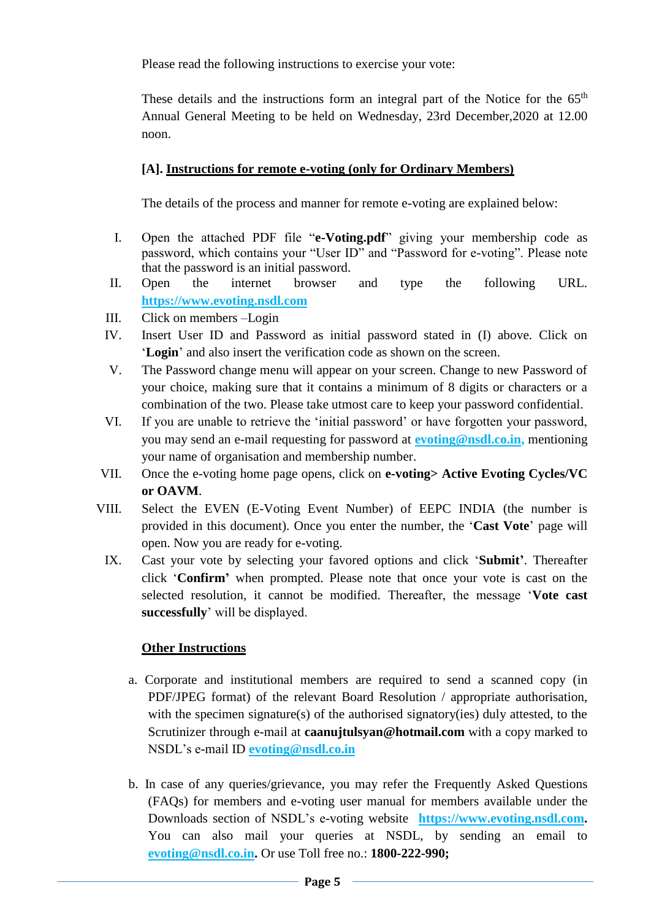Please read the following instructions to exercise your vote:

These details and the instructions form an integral part of the Notice for the 65<sup>th</sup> Annual General Meeting to be held on Wednesday, 23rd December,2020 at 12.00 noon.

### **[A]. Instructions for remote e-voting (only for Ordinary Members)**

The details of the process and manner for remote e-voting are explained below:

- I. Open the attached PDF file "**e-Voting.pdf**" giving your membership code as password, which contains your "User ID" and "Password for e-voting". Please note that the password is an initial password.
- II. Open the internet browser and type the following URL. **[https://www.evoting.nsdl.com](https://www.evoting.nsdl.com/)**
- III. Click on members –Login
- IV. Insert User ID and Password as initial password stated in (I) above. Click on '**Login**' and also insert the verification code as shown on the screen.
- V. The Password change menu will appear on your screen. Change to new Password of your choice, making sure that it contains a minimum of 8 digits or characters or a combination of the two. Please take utmost care to keep your password confidential.
- VI. If you are unable to retrieve the 'initial password' or have forgotten your password, you may send an e-mail requesting for password at **[evoting@nsdl.co.in,](mailto:evoting@nsdl.co.in)** mentioning your name of organisation and membership number.
- VII. Once the e-voting home page opens, click on **e-voting> Active Evoting Cycles/VC or OAVM**.
- VIII. Select the EVEN (E-Voting Event Number) of EEPC INDIA (the number is provided in this document). Once you enter the number, the '**Cast Vote**' page will open. Now you are ready for e-voting.
	- IX. Cast your vote by selecting your favored options and click '**Submit'**. Thereafter click '**Confirm'** when prompted. Please note that once your vote is cast on the selected resolution, it cannot be modified. Thereafter, the message '**Vote cast successfully**' will be displayed.

# **Other Instructions**

- a. Corporate and institutional members are required to send a scanned copy (in PDF/JPEG format) of the relevant Board Resolution / appropriate authorisation, with the specimen signature(s) of the authorised signatory(ies) duly attested, to the Scrutinizer through e-mail at **caanujtulsyan@hotmail.com** with a copy marked to NSDL's e-mail ID **[evoting@nsdl.co.in](mailto:evoting@nsdl.co.in)**
- b. In case of any queries/grievance, you may refer the Frequently Asked Questions (FAQs) for members and e-voting user manual for members available under the Downloads section of NSDL's e-voting website **[https://www.evoting.nsdl.com.](https://www.evoting.nsdl.com/)**  You can also mail your queries at NSDL, by sending an email to **[evoting@nsdl.co.in.](mailto:evoting@nsdl.co.in)** Or use Toll free no.: **1800-222-990;**